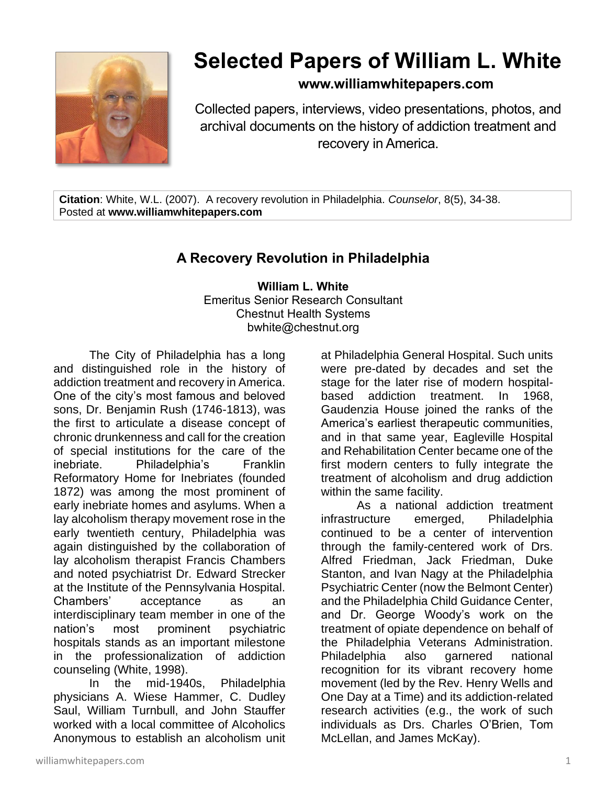

# **Selected Papers of William L. White**

## **www.williamwhitepapers.com**

Collected papers, interviews, video presentations, photos, and archival documents on the history of addiction treatment and recovery in America.

**Citation**: White, W.L. (2007). A recovery revolution in Philadelphia. *Counselor*, 8(5), 34-38. Posted at **www.williamwhitepapers.com**

## **A Recovery Revolution in Philadelphia**

**William L. White** Emeritus Senior Research Consultant Chestnut Health Systems bwhite@chestnut.org

The City of Philadelphia has a long and distinguished role in the history of addiction treatment and recovery in America. One of the city's most famous and beloved sons, Dr. Benjamin Rush (1746-1813), was the first to articulate a disease concept of chronic drunkenness and call for the creation of special institutions for the care of the inebriate. Philadelphia's Franklin Reformatory Home for Inebriates (founded 1872) was among the most prominent of early inebriate homes and asylums. When a lay alcoholism therapy movement rose in the early twentieth century, Philadelphia was again distinguished by the collaboration of lay alcoholism therapist Francis Chambers and noted psychiatrist Dr. Edward Strecker at the Institute of the Pennsylvania Hospital. Chambers' acceptance as an interdisciplinary team member in one of the nation's most prominent psychiatric hospitals stands as an important milestone in the professionalization of addiction counseling (White, 1998).

In the mid-1940s, Philadelphia physicians A. Wiese Hammer, C. Dudley Saul, William Turnbull, and John Stauffer worked with a local committee of Alcoholics Anonymous to establish an alcoholism unit

at Philadelphia General Hospital. Such units were pre-dated by decades and set the stage for the later rise of modern hospitalbased addiction treatment. In 1968, Gaudenzia House joined the ranks of the America's earliest therapeutic communities, and in that same year, Eagleville Hospital and Rehabilitation Center became one of the first modern centers to fully integrate the treatment of alcoholism and drug addiction within the same facility.

As a national addiction treatment infrastructure emerged, Philadelphia continued to be a center of intervention through the family-centered work of Drs. Alfred Friedman, Jack Friedman, Duke Stanton, and Ivan Nagy at the Philadelphia Psychiatric Center (now the Belmont Center) and the Philadelphia Child Guidance Center, and Dr. George Woody's work on the treatment of opiate dependence on behalf of the Philadelphia Veterans Administration. Philadelphia also garnered national recognition for its vibrant recovery home movement (led by the Rev. Henry Wells and One Day at a Time) and its addiction-related research activities (e.g., the work of such individuals as Drs. Charles O'Brien, Tom McLellan, and James McKay).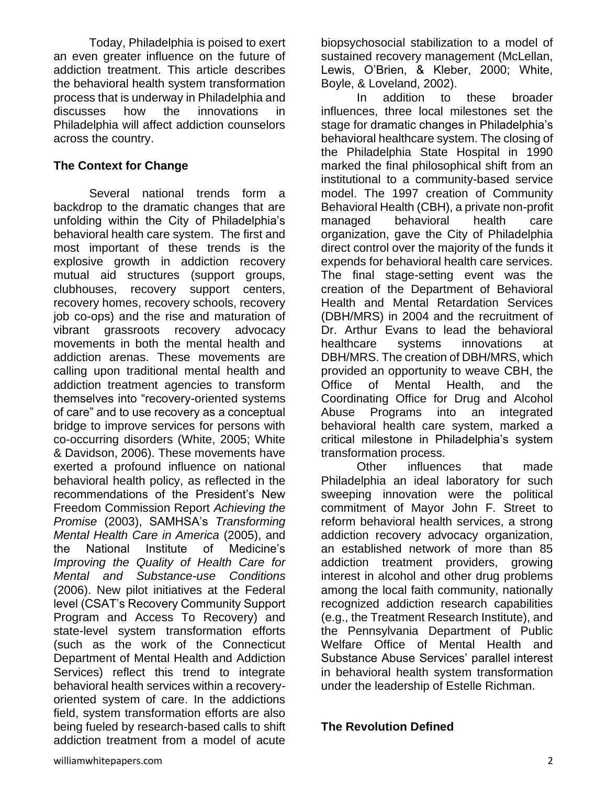Today, Philadelphia is poised to exert an even greater influence on the future of addiction treatment. This article describes the behavioral health system transformation process that is underway in Philadelphia and discusses how the innovations in Philadelphia will affect addiction counselors across the country.

## **The Context for Change**

Several national trends form a backdrop to the dramatic changes that are unfolding within the City of Philadelphia's behavioral health care system. The first and most important of these trends is the explosive growth in addiction recovery mutual aid structures (support groups, clubhouses, recovery support centers, recovery homes, recovery schools, recovery job co-ops) and the rise and maturation of vibrant grassroots recovery advocacy movements in both the mental health and addiction arenas. These movements are calling upon traditional mental health and addiction treatment agencies to transform themselves into "recovery-oriented systems of care" and to use recovery as a conceptual bridge to improve services for persons with co-occurring disorders (White, 2005; White & Davidson, 2006). These movements have exerted a profound influence on national behavioral health policy, as reflected in the recommendations of the President's New Freedom Commission Report *Achieving the Promise* (2003), SAMHSA's *Transforming Mental Health Care in America* (2005), and the National Institute of Medicine's *Improving the Quality of Health Care for Mental and Substance-use Conditions*  (2006). New pilot initiatives at the Federal level (CSAT's Recovery Community Support Program and Access To Recovery) and state-level system transformation efforts (such as the work of the Connecticut Department of Mental Health and Addiction Services) reflect this trend to integrate behavioral health services within a recoveryoriented system of care. In the addictions field, system transformation efforts are also being fueled by research-based calls to shift addiction treatment from a model of acute

biopsychosocial stabilization to a model of sustained recovery management (McLellan, Lewis, O'Brien, & Kleber, 2000; White, Boyle, & Loveland, 2002).

In addition to these broader influences, three local milestones set the stage for dramatic changes in Philadelphia's behavioral healthcare system. The closing of the Philadelphia State Hospital in 1990 marked the final philosophical shift from an institutional to a community-based service model. The 1997 creation of Community Behavioral Health (CBH), a private non-profit managed behavioral health care organization, gave the City of Philadelphia direct control over the majority of the funds it expends for behavioral health care services. The final stage-setting event was the creation of the Department of Behavioral Health and Mental Retardation Services (DBH/MRS) in 2004 and the recruitment of Dr. Arthur Evans to lead the behavioral healthcare systems innovations at DBH/MRS. The creation of DBH/MRS, which provided an opportunity to weave CBH, the Office of Mental Health, and the Coordinating Office for Drug and Alcohol Abuse Programs into an integrated behavioral health care system, marked a critical milestone in Philadelphia's system transformation process.

Other influences that made Philadelphia an ideal laboratory for such sweeping innovation were the political commitment of Mayor John F. Street to reform behavioral health services, a strong addiction recovery advocacy organization, an established network of more than 85 addiction treatment providers, growing interest in alcohol and other drug problems among the local faith community, nationally recognized addiction research capabilities (e.g., the Treatment Research Institute), and the Pennsylvania Department of Public Welfare Office of Mental Health and Substance Abuse Services' parallel interest in behavioral health system transformation under the leadership of Estelle Richman.

**The Revolution Defined**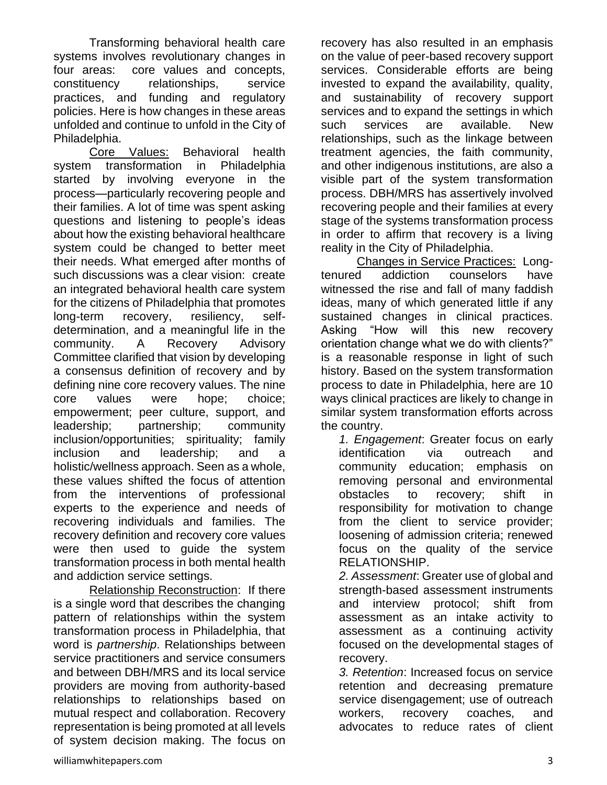Transforming behavioral health care systems involves revolutionary changes in four areas: core values and concepts, constituency relationships, service practices, and funding and regulatory policies. Here is how changes in these areas unfolded and continue to unfold in the City of Philadelphia.

Core Values: Behavioral health system transformation in Philadelphia started by involving everyone in the process—particularly recovering people and their families. A lot of time was spent asking questions and listening to people's ideas about how the existing behavioral healthcare system could be changed to better meet their needs. What emerged after months of such discussions was a clear vision: create an integrated behavioral health care system for the citizens of Philadelphia that promotes long-term recovery, resiliency, selfdetermination, and a meaningful life in the community. A Recovery Advisory Committee clarified that vision by developing a consensus definition of recovery and by defining nine core recovery values. The nine core values were hope; choice; empowerment; peer culture, support, and leadership; partnership; community inclusion/opportunities; spirituality; family inclusion and leadership; and a holistic/wellness approach. Seen as a whole, these values shifted the focus of attention from the interventions of professional experts to the experience and needs of recovering individuals and families. The recovery definition and recovery core values were then used to guide the system transformation process in both mental health and addiction service settings.

Relationship Reconstruction: If there is a single word that describes the changing pattern of relationships within the system transformation process in Philadelphia, that word is *partnership*. Relationships between service practitioners and service consumers and between DBH/MRS and its local service providers are moving from authority-based relationships to relationships based on mutual respect and collaboration. Recovery representation is being promoted at all levels of system decision making. The focus on

recovery has also resulted in an emphasis on the value of peer-based recovery support services. Considerable efforts are being invested to expand the availability, quality, and sustainability of recovery support services and to expand the settings in which such services are available. New relationships, such as the linkage between treatment agencies, the faith community, and other indigenous institutions, are also a visible part of the system transformation process. DBH/MRS has assertively involved recovering people and their families at every stage of the systems transformation process in order to affirm that recovery is a living reality in the City of Philadelphia.

Changes in Service Practices: Longtenured addiction counselors have witnessed the rise and fall of many faddish ideas, many of which generated little if any sustained changes in clinical practices. Asking "How will this new recovery orientation change what we do with clients?" is a reasonable response in light of such history. Based on the system transformation process to date in Philadelphia, here are 10 ways clinical practices are likely to change in similar system transformation efforts across the country.

*1. Engagement*: Greater focus on early identification via outreach and community education; emphasis on removing personal and environmental obstacles to recovery; shift in responsibility for motivation to change from the client to service provider; loosening of admission criteria; renewed focus on the quality of the service RELATIONSHIP.

*2. Assessment*: Greater use of global and strength-based assessment instruments and interview protocol; shift from assessment as an intake activity to assessment as a continuing activity focused on the developmental stages of recovery.

*3. Retention*: Increased focus on service retention and decreasing premature service disengagement; use of outreach workers, recovery coaches, and advocates to reduce rates of client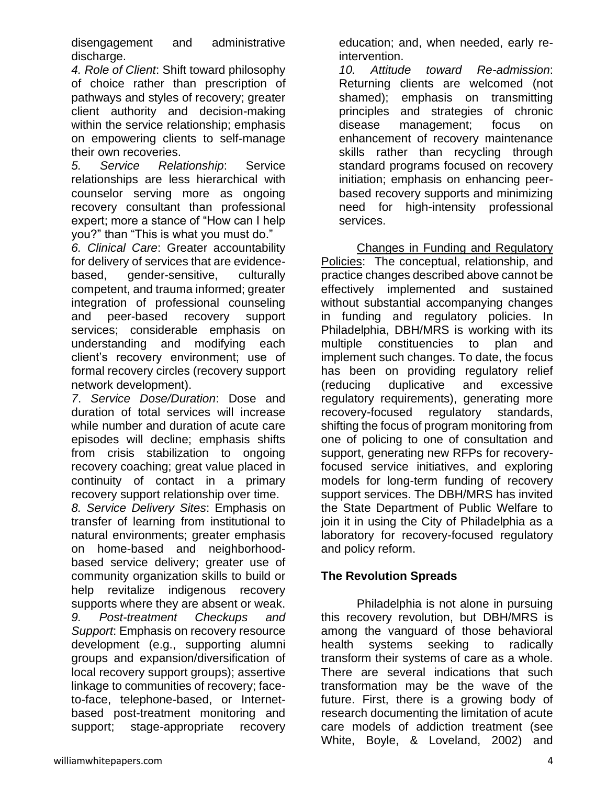disengagement and administrative discharge.

*4. Role of Client*: Shift toward philosophy of choice rather than prescription of pathways and styles of recovery; greater client authority and decision-making within the service relationship; emphasis on empowering clients to self-manage their own recoveries.

*5. Service Relationship*: Service relationships are less hierarchical with counselor serving more as ongoing recovery consultant than professional expert; more a stance of "How can I help you?" than "This is what you must do."

*6. Clinical Care*: Greater accountability for delivery of services that are evidencebased, gender-sensitive, culturally competent, and trauma informed; greater integration of professional counseling and peer-based recovery support services; considerable emphasis on understanding and modifying each client's recovery environment; use of formal recovery circles (recovery support network development).

*7*. *Service Dose/Duration*: Dose and duration of total services will increase while number and duration of acute care episodes will decline; emphasis shifts from crisis stabilization to ongoing recovery coaching; great value placed in continuity of contact in a primary recovery support relationship over time.

*8. Service Delivery Sites*: Emphasis on transfer of learning from institutional to natural environments; greater emphasis on home-based and neighborhoodbased service delivery; greater use of community organization skills to build or help revitalize indigenous recovery supports where they are absent or weak. *9. Post-treatment Checkups and Support*: Emphasis on recovery resource development (e.g., supporting alumni groups and expansion/diversification of local recovery support groups); assertive linkage to communities of recovery; faceto-face, telephone-based, or Internetbased post-treatment monitoring and support; stage-appropriate recovery

education; and, when needed, early reintervention.

*10. Attitude toward Re-admission*: Returning clients are welcomed (not shamed); emphasis on transmitting principles and strategies of chronic disease management; focus on enhancement of recovery maintenance skills rather than recycling through standard programs focused on recovery initiation; emphasis on enhancing peerbased recovery supports and minimizing need for high-intensity professional services.

Changes in Funding and Regulatory Policies: The conceptual, relationship, and practice changes described above cannot be effectively implemented and sustained without substantial accompanying changes in funding and regulatory policies. In Philadelphia, DBH/MRS is working with its multiple constituencies to plan and implement such changes. To date, the focus has been on providing regulatory relief (reducing duplicative and excessive regulatory requirements), generating more recovery-focused regulatory standards, shifting the focus of program monitoring from one of policing to one of consultation and support, generating new RFPs for recoveryfocused service initiatives, and exploring models for long-term funding of recovery support services. The DBH/MRS has invited the State Department of Public Welfare to join it in using the City of Philadelphia as a laboratory for recovery-focused regulatory and policy reform.

## **The Revolution Spreads**

Philadelphia is not alone in pursuing this recovery revolution, but DBH/MRS is among the vanguard of those behavioral health systems seeking to radically transform their systems of care as a whole. There are several indications that such transformation may be the wave of the future. First, there is a growing body of research documenting the limitation of acute care models of addiction treatment (see White, Boyle, & Loveland, 2002) and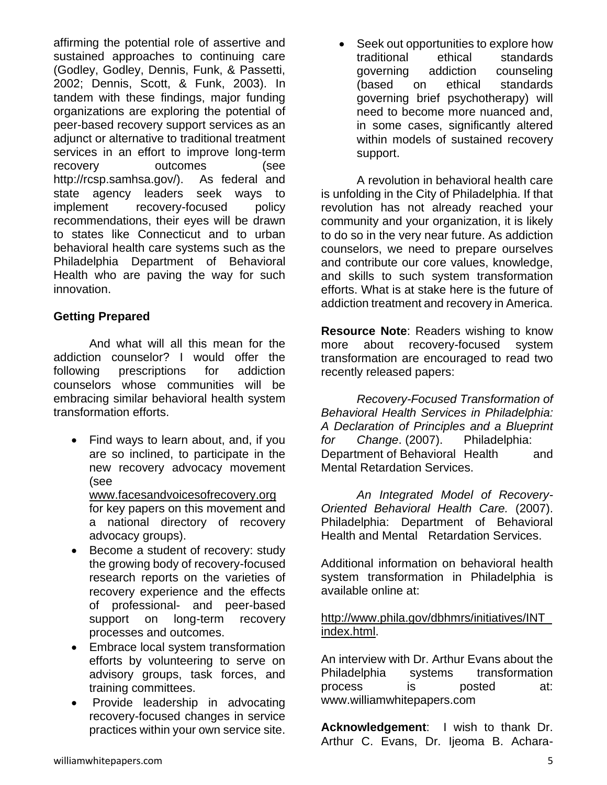affirming the potential role of assertive and sustained approaches to continuing care (Godley, Godley, Dennis, Funk, & Passetti, 2002; Dennis, Scott, & Funk, 2003). In tandem with these findings, major funding organizations are exploring the potential of peer-based recovery support services as an adjunct or alternative to traditional treatment services in an effort to improve long-term recovery outcomes (see http://rcsp.samhsa.gov/). As federal and state agency leaders seek ways to implement recovery-focused policy recommendations, their eyes will be drawn to states like Connecticut and to urban behavioral health care systems such as the Philadelphia Department of Behavioral Health who are paving the way for such innovation.

## **Getting Prepared**

And what will all this mean for the addiction counselor? I would offer the following prescriptions for addiction counselors whose communities will be embracing similar behavioral health system transformation efforts.

- Find ways to learn about, and, if you are so inclined, to participate in the new recovery advocacy movement (see [www.facesandvoicesofrecovery.org](http://www.facesandvoicesofrecovery.org/) for key papers on this movement and a national directory of recovery advocacy groups).
- Become a student of recovery: study the growing body of recovery-focused research reports on the varieties of recovery experience and the effects of professional- and peer-based support on long-term recovery processes and outcomes.
- Embrace local system transformation efforts by volunteering to serve on advisory groups, task forces, and training committees.
- Provide leadership in advocating recovery-focused changes in service practices within your own service site.

Seek out opportunities to explore how traditional ethical standards governing addiction counseling (based on ethical standards governing brief psychotherapy) will need to become more nuanced and, in some cases, significantly altered within models of sustained recovery support.

A revolution in behavioral health care is unfolding in the City of Philadelphia. If that revolution has not already reached your community and your organization, it is likely to do so in the very near future. As addiction counselors, we need to prepare ourselves and contribute our core values, knowledge, and skills to such system transformation efforts. What is at stake here is the future of addiction treatment and recovery in America.

**Resource Note**: Readers wishing to know more about recovery-focused system transformation are encouraged to read two recently released papers:

*Recovery-Focused Transformation of Behavioral Health Services in Philadelphia: A Declaration of Principles and a Blueprint for Change*. (2007). Philadelphia: Department of Behavioral Health and Mental Retardation Services.

*An Integrated Model of Recovery-Oriented Behavioral Health Care.* (2007). Philadelphia: Department of Behavioral Health and Mental Retardation Services.

Additional information on behavioral health system transformation in Philadelphia is available online at:

#### [http://www.phila.gov/dbhmrs/initiatives/INT\\_](http://www.phila.gov/dbhmrs/initiatives/INT_index.html) [index.html.](http://www.phila.gov/dbhmrs/initiatives/INT_index.html)

An interview with Dr. Arthur Evans about the Philadelphia systems transformation process is posted at: www.williamwhitepapers.com

**Acknowledgement**: I wish to thank Dr. Arthur C. Evans, Dr. Ijeoma B. Achara